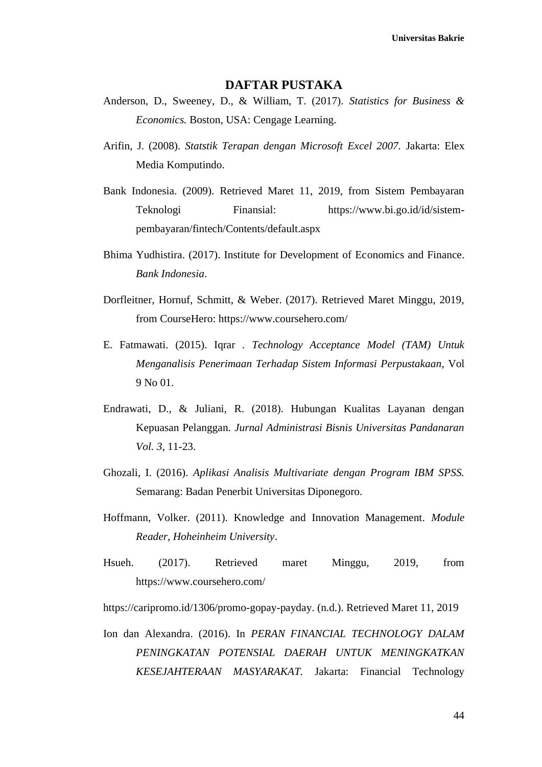## **DAFTAR PUSTAKA**

- Anderson, D., Sweeney, D., & William, T. (2017). *Statistics for Business & Economics.* Boston, USA: Cengage Learning.
- Arifin, J. (2008). *Statstik Terapan dengan Microsoft Excel 2007.* Jakarta: Elex Media Komputindo.
- Bank Indonesia. (2009). Retrieved Maret 11, 2019, from Sistem Pembayaran Teknologi Finansial: https://www.bi.go.id/id/sistempembayaran/fintech/Contents/default.aspx
- Bhima Yudhistira. (2017). Institute for Development of Economics and Finance. *Bank Indonesia*.
- Dorfleitner, Hornuf, Schmitt, & Weber. (2017). Retrieved Maret Minggu, 2019, from CourseHero: https://www.coursehero.com/
- E. Fatmawati. (2015). Iqrar . *Technology Acceptance Model (TAM) Untuk Menganalisis Penerimaan Terhadap Sistem Informasi Perpustakaan*, Vol 9 No 01.
- Endrawati, D., & Juliani, R. (2018). Hubungan Kualitas Layanan dengan Kepuasan Pelanggan. *Jurnal Administrasi Bisnis Universitas Pandanaran Vol. 3*, 11-23.
- Ghozali, I. (2016). *Aplikasi Analisis Multivariate dengan Program IBM SPSS.* Semarang: Badan Penerbit Universitas Diponegoro.
- Hoffmann, Volker. (2011). Knowledge and Innovation Management. *Module Reader, Hoheinheim University*.
- Hsueh. (2017). Retrieved maret Minggu, 2019, from https://www.coursehero.com/

https://caripromo.id/1306/promo-gopay-payday. (n.d.). Retrieved Maret 11, 2019

Ion dan Alexandra. (2016). In *PERAN FINANCIAL TECHNOLOGY DALAM PENINGKATAN POTENSIAL DAERAH UNTUK MENINGKATKAN KESEJAHTERAAN MASYARAKAT.* Jakarta: Financial Technology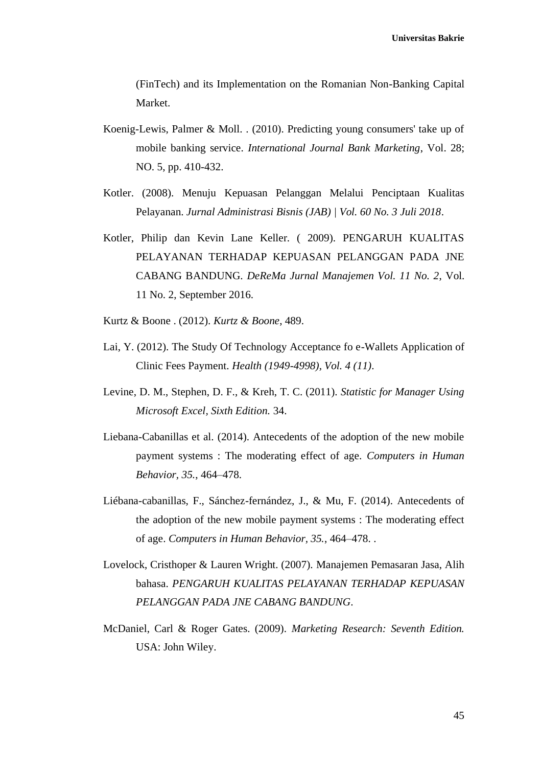(FinTech) and its Implementation on the Romanian Non-Banking Capital Market.

- Koenig-Lewis, Palmer & Moll. . (2010). Predicting young consumers' take up of mobile banking service. *International Journal Bank Marketing*, Vol. 28; NO. 5, pp. 410-432.
- Kotler. (2008). Menuju Kepuasan Pelanggan Melalui Penciptaan Kualitas Pelayanan. *Jurnal Administrasi Bisnis (JAB) | Vol. 60 No. 3 Juli 2018*.
- Kotler, Philip dan Kevin Lane Keller. ( 2009). PENGARUH KUALITAS PELAYANAN TERHADAP KEPUASAN PELANGGAN PADA JNE CABANG BANDUNG. *DeReMa Jurnal Manajemen Vol. 11 No. 2*, Vol. 11 No. 2, September 2016.
- Kurtz & Boone . (2012). *Kurtz & Boone*, 489.
- Lai, Y. (2012). The Study Of Technology Acceptance fo e-Wallets Application of Clinic Fees Payment. *Health (1949-4998), Vol. 4 (11)*.
- Levine, D. M., Stephen, D. F., & Kreh, T. C. (2011). *Statistic for Manager Using Microsoft Excel, Sixth Edition.* 34.
- Liebana-Cabanillas et al. (2014). Antecedents of the adoption of the new mobile payment systems : The moderating effect of age. *Computers in Human Behavior, 35.*, 464–478.
- Liébana-cabanillas, F., Sánchez-fernández, J., & Mu, F. (2014). Antecedents of the adoption of the new mobile payment systems : The moderating effect of age. *Computers in Human Behavior, 35.*, 464–478. .
- Lovelock, Cristhoper & Lauren Wright. (2007). Manajemen Pemasaran Jasa, Alih bahasa. *PENGARUH KUALITAS PELAYANAN TERHADAP KEPUASAN PELANGGAN PADA JNE CABANG BANDUNG*.
- McDaniel, Carl & Roger Gates. (2009). *Marketing Research: Seventh Edition.* USA: John Wiley.